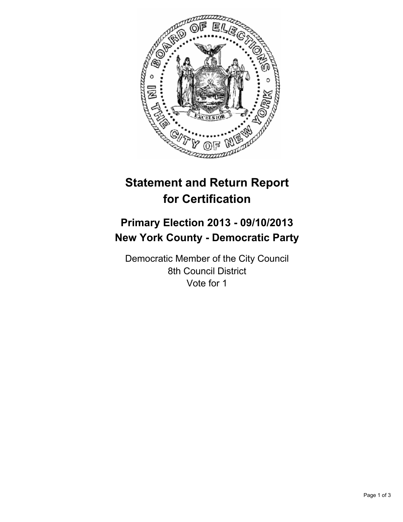

## **Statement and Return Report for Certification**

## **Primary Election 2013 - 09/10/2013 New York County - Democratic Party**

Democratic Member of the City Council 8th Council District Vote for 1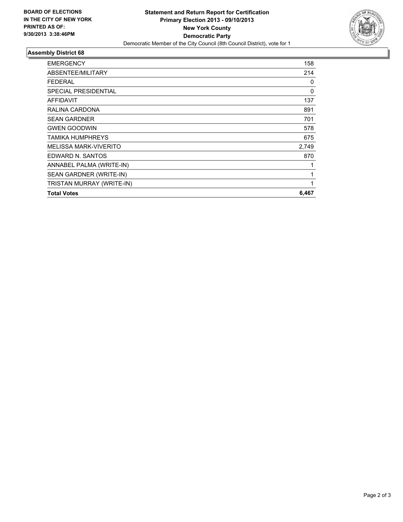

## **Assembly District 68**

| <b>EMERGENCY</b>             | 158   |
|------------------------------|-------|
| ABSENTEE/MILITARY            | 214   |
| <b>FEDERAL</b>               | 0     |
| <b>SPECIAL PRESIDENTIAL</b>  | 0     |
| <b>AFFIDAVIT</b>             | 137   |
| RALINA CARDONA               | 891   |
| <b>SEAN GARDNER</b>          | 701   |
| <b>GWEN GOODWIN</b>          | 578   |
| TAMIKA HUMPHREYS             | 675   |
| <b>MELISSA MARK-VIVERITO</b> | 2,749 |
| EDWARD N. SANTOS             | 870   |
| ANNABEL PALMA (WRITE-IN)     |       |
| SEAN GARDNER (WRITE-IN)      | 1     |
| TRISTAN MURRAY (WRITE-IN)    | 1     |
| <b>Total Votes</b>           | 6,467 |